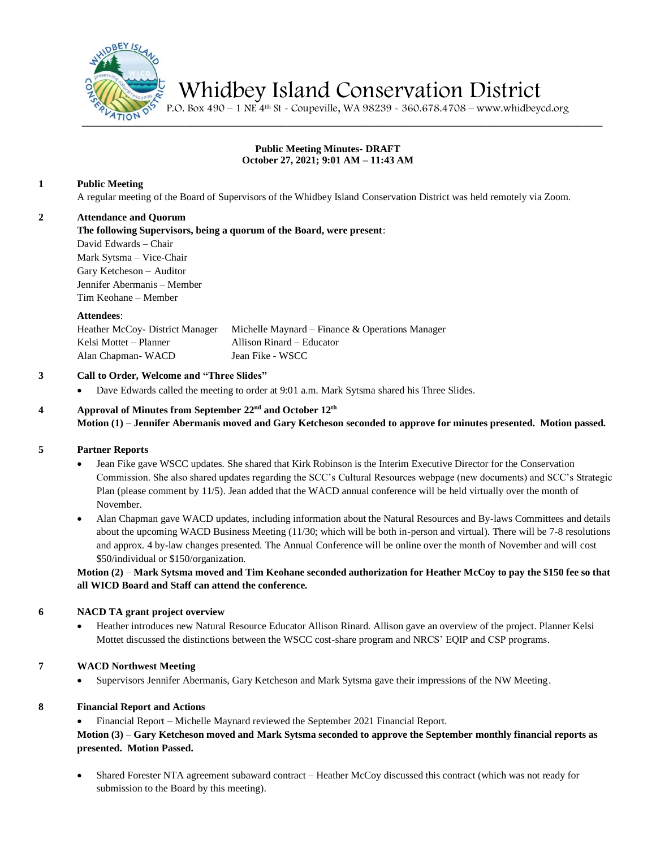

Whidbey Island Conservation District

 $\frac{4710 \text{N}}{95}$  P.O. Box 490 – 1 NE 4<sup>th</sup> St - Coupeville, WA 98239 - 360.678.4708 – www.whidbeycd.org

### **Public Meeting Minutes- DRAFT October 27, 2021; 9:01 AM – 11:43 AM**

## **1 Public Meeting**

A regular meeting of the Board of Supervisors of the Whidbey Island Conservation District was held remotely via Zoom.

#### **2 Attendance and Quorum**

**The following Supervisors, being a quorum of the Board, were present**:

David Edwards – Chair Mark Sytsma – Vice-Chair Gary Ketcheson – Auditor Jennifer Abermanis – Member Tim Keohane – Member

#### **Attendees**:

| Heather McCoy- District Manager | Michelle Maynard – Finance & Operations Manager |
|---------------------------------|-------------------------------------------------|
| Kelsi Mottet – Planner          | Allison Rinard – Educator                       |
| Alan Chapman - WACD             | Jean Fike - WSCC                                |

## **3 Call to Order, Welcome and "Three Slides"**

• Dave Edwards called the meeting to order at 9:01 a.m. Mark Sytsma shared his Three Slides.

### **4 Approval of Minutes from September 22 nd and October 12th Motion (1)** – **Jennifer Abermanis moved and Gary Ketcheson seconded to approve for minutes presented. Motion passed.**

#### **5 Partner Reports**

- Jean Fike gave WSCC updates. She shared that Kirk Robinson is the Interim Executive Director for the Conservation Commission. She also shared updates regarding the SCC's Cultural Resources webpage (new documents) and SCC's Strategic Plan (please comment by 11/5). Jean added that the WACD annual conference will be held virtually over the month of November.
- Alan Chapman gave WACD updates, including information about the Natural Resources and By-laws Committees and details about the upcoming WACD Business Meeting (11/30; which will be both in-person and virtual). There will be 7-8 resolutions and approx. 4 by-law changes presented. The Annual Conference will be online over the month of November and will cost \$50/individual or \$150/organization.

## **Motion (2)** – **Mark Sytsma moved and Tim Keohane seconded authorization for Heather McCoy to pay the \$150 fee so that all WICD Board and Staff can attend the conference.**

## **6 NACD TA grant project overview**

• Heather introduces new Natural Resource Educator Allison Rinard. Allison gave an overview of the project. Planner Kelsi Mottet discussed the distinctions between the WSCC cost-share program and NRCS' EQIP and CSP programs.

## **7 WACD Northwest Meeting**

• Supervisors Jennifer Abermanis, Gary Ketcheson and Mark Sytsma gave their impressions of the NW Meeting.

## **8 Financial Report and Actions**

• Financial Report – Michelle Maynard reviewed the September 2021 Financial Report.

# **Motion (3)** – **Gary Ketcheson moved and Mark Sytsma seconded to approve the September monthly financial reports as presented. Motion Passed.**

• Shared Forester NTA agreement subaward contract – Heather McCoy discussed this contract (which was not ready for submission to the Board by this meeting).